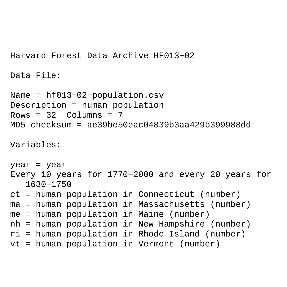```
Harvard Forest Data Archive HF013−02
```

```
Data File:
```

```
Name = hf013−02−population.csv
Description = human population 
Rows = 32 Columns = 7MD5 checksum = ae39be50eac04839b3aa429b399988dd
Variables:
year = year
Every 10 years for 1770−2000 and every 20 years for 
    1630−1750 
ct = human population in Connecticut (number) 
ma = human population in Massachusetts (number) 
me = human population in Maine (number) 
nh = human population in New Hampshire (number) 
ri = human population in Rhode Island (number) 
vt = human population in Vermont (number)
```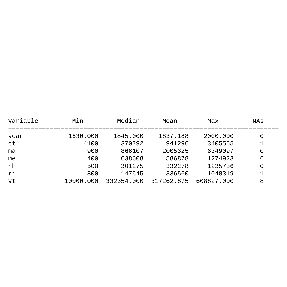| Variable | Min       | Median     | Mean       | Max        | NAs      |
|----------|-----------|------------|------------|------------|----------|
| year     | 1630.000  | 1845.000   | 1837.188   | 2000.000   | 0        |
| ct       | 4100      | 370792     | 941296     | 3405565    |          |
| ma       | 900       | 866107     | 2005325    | 6349097    | 0        |
| me       | 400       | 638608     | 586878     | 1274923    | 6        |
| nh       | 500       | 301275     | 332278     | 1235786    | $\Omega$ |
| ri       | 800       | 147545     | 336560     | 1048319    |          |
| vt       | 10000.000 | 332354.000 | 317262.875 | 608827.000 | 8        |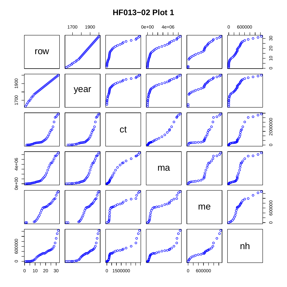## **HF013-02 Plot 1**